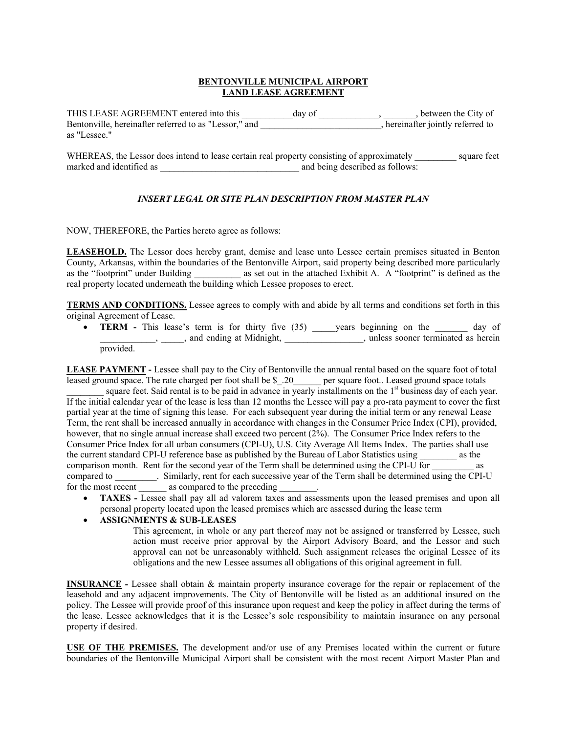#### **BENTONVILLE MUNICIPAL AIRPORT LAND LEASE AGREEMENT**

THIS LEASE AGREEMENT entered into this day of entertial contact the City of Bentonville, hereinafter referred to as "Lessor," and \_\_\_\_\_\_\_\_\_\_\_\_\_\_\_\_\_, hereinafter jointly referred to as "Lessee."

WHEREAS, the Lessor does intend to lease certain real property consisting of approximately square feet marked and identified as  $\Box$  and being described as follows:

### *INSERT LEGAL OR SITE PLAN DESCRIPTION FROM MASTER PLAN*

NOW, THEREFORE, the Parties hereto agree as follows:

**LEASEHOLD.** The Lessor does hereby grant, demise and lease unto Lessee certain premises situated in Benton County, Arkansas, within the boundaries of the Bentonville Airport, said property being described more particularly as the "footprint" under Building as set out in the attached Exhibit A. A "footprint" is defined as the real property located underneath the building which Lessee proposes to erect.

**TERMS AND CONDITIONS.** Lessee agrees to comply with and abide by all terms and conditions set forth in this original Agreement of Lease.

• **TERM** - This lease's term is for thirty five (35) \_\_\_\_\_years beginning on the \_\_\_\_\_\_\_ day of \_\_\_\_\_\_\_\_\_\_\_\_, \_\_\_\_\_, and ending at Midnight, \_\_\_\_\_\_\_\_\_\_\_\_\_\_\_\_\_, unless sooner terminated as herein provided.

**LEASE PAYMENT -** Lessee shall pay to the City of Bentonville the annual rental based on the square foot of total leased ground space. The rate charged per foot shall be \$ .20 \_\_\_\_\_ per square foot.. Leased ground space totals square feet. Said rental is to be paid in advance in yearly installments on the  $1<sup>st</sup>$  business day of each year. If the initial calendar year of the lease is less than 12 months the Lessee will pay a pro-rata payment to cover the first partial year at the time of signing this lease. For each subsequent year during the initial term or any renewal Lease Term, the rent shall be increased annually in accordance with changes in the Consumer Price Index (CPI), provided, however, that no single annual increase shall exceed two percent (2%). The Consumer Price Index refers to the Consumer Price Index for all urban consumers (CPI-U), U.S. City Average All Items Index. The parties shall use

the current standard CPI-U reference base as published by the Bureau of Labor Statistics using \_\_\_\_\_\_\_\_ as the comparison month. Rent for the second year of the Term shall be determined using the CPI-U for as compared to \_\_\_\_\_\_\_\_\_. Similarly, rent for each successive year of the Term shall be determined using the CPI-U for the most recent \_\_\_\_\_\_\_\_\_ as compared to the preceding

• **TAXES -** Lessee shall pay all ad valorem taxes and assessments upon the leased premises and upon all personal property located upon the leased premises which are assessed during the lease term

### • **ASSIGNMENTS & SUB-LEASES**

This agreement, in whole or any part thereof may not be assigned or transferred by Lessee, such action must receive prior approval by the Airport Advisory Board, and the Lessor and such approval can not be unreasonably withheld. Such assignment releases the original Lessee of its obligations and the new Lessee assumes all obligations of this original agreement in full.

**INSURANCE -** Lessee shall obtain & maintain property insurance coverage for the repair or replacement of the leasehold and any adjacent improvements. The City of Bentonville will be listed as an additional insured on the policy. The Lessee will provide proof of this insurance upon request and keep the policy in affect during the terms of the lease. Lessee acknowledges that it is the Lessee's sole responsibility to maintain insurance on any personal property if desired.

**USE OF THE PREMISES.** The development and/or use of any Premises located within the current or future boundaries of the Bentonville Municipal Airport shall be consistent with the most recent Airport Master Plan and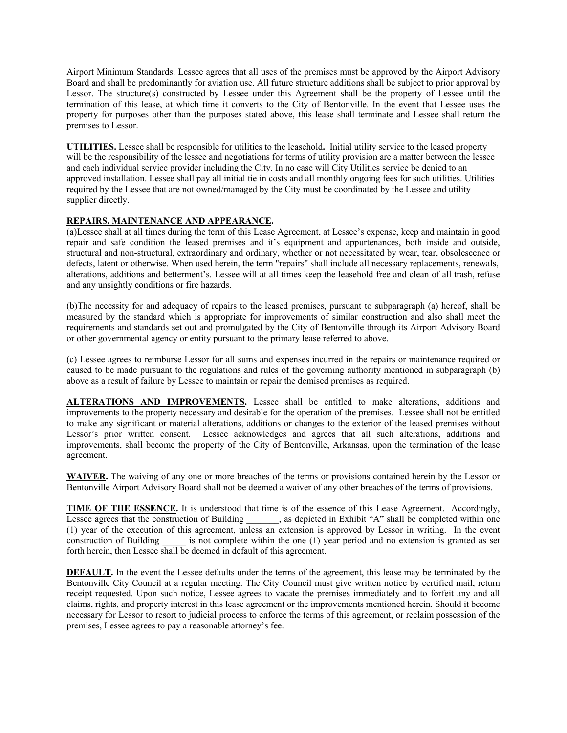Airport Minimum Standards. Lessee agrees that all uses of the premises must be approved by the Airport Advisory Board and shall be predominantly for aviation use. All future structure additions shall be subject to prior approval by Lessor. The structure(s) constructed by Lessee under this Agreement shall be the property of Lessee until the termination of this lease, at which time it converts to the City of Bentonville. In the event that Lessee uses the property for purposes other than the purposes stated above, this lease shall terminate and Lessee shall return the premises to Lessor.

**UTILITIES.** Lessee shall be responsible for utilities to the leasehold**.** Initial utility service to the leased property will be the responsibility of the lessee and negotiations for terms of utility provision are a matter between the lessee and each individual service provider including the City. In no case will City Utilities service be denied to an approved installation. Lessee shall pay all initial tie in costs and all monthly ongoing fees for such utilities. Utilities required by the Lessee that are not owned/managed by the City must be coordinated by the Lessee and utility supplier directly.

### **REPAIRS, MAINTENANCE AND APPEARANCE.**

(a)Lessee shall at all times during the term of this Lease Agreement, at Lessee's expense, keep and maintain in good repair and safe condition the leased premises and it's equipment and appurtenances, both inside and outside, structural and non-structural, extraordinary and ordinary, whether or not necessitated by wear, tear, obsolescence or defects, latent or otherwise. When used herein, the term "repairs" shall include all necessary replacements, renewals, alterations, additions and betterment's. Lessee will at all times keep the leasehold free and clean of all trash, refuse and any unsightly conditions or fire hazards.

(b)The necessity for and adequacy of repairs to the leased premises, pursuant to subparagraph (a) hereof, shall be measured by the standard which is appropriate for improvements of similar construction and also shall meet the requirements and standards set out and promulgated by the City of Bentonville through its Airport Advisory Board or other governmental agency or entity pursuant to the primary lease referred to above.

(c) Lessee agrees to reimburse Lessor for all sums and expenses incurred in the repairs or maintenance required or caused to be made pursuant to the regulations and rules of the governing authority mentioned in subparagraph (b) above as a result of failure by Lessee to maintain or repair the demised premises as required.

**ALTERATIONS AND IMPROVEMENTS.** Lessee shall be entitled to make alterations, additions and improvements to the property necessary and desirable for the operation of the premises. Lessee shall not be entitled to make any significant or material alterations, additions or changes to the exterior of the leased premises without Lessor's prior written consent. Lessee acknowledges and agrees that all such alterations, additions and improvements, shall become the property of the City of Bentonville, Arkansas, upon the termination of the lease agreement.

**WAIVER.** The waiving of any one or more breaches of the terms or provisions contained herein by the Lessor or Bentonville Airport Advisory Board shall not be deemed a waiver of any other breaches of the terms of provisions.

**TIME OF THE ESSENCE.** It is understood that time is of the essence of this Lease Agreement. Accordingly, Lessee agrees that the construction of Building \_\_\_\_\_\_, as depicted in Exhibit "A" shall be completed within one (1) year of the execution of this agreement, unless an extension is approved by Lessor in writing. In the event construction of Building is not complete within the one (1) year period and no extension is granted as set forth herein, then Lessee shall be deemed in default of this agreement.

**DEFAULT.** In the event the Lessee defaults under the terms of the agreement, this lease may be terminated by the Bentonville City Council at a regular meeting. The City Council must give written notice by certified mail, return receipt requested. Upon such notice, Lessee agrees to vacate the premises immediately and to forfeit any and all claims, rights, and property interest in this lease agreement or the improvements mentioned herein. Should it become necessary for Lessor to resort to judicial process to enforce the terms of this agreement, or reclaim possession of the premises, Lessee agrees to pay a reasonable attorney's fee.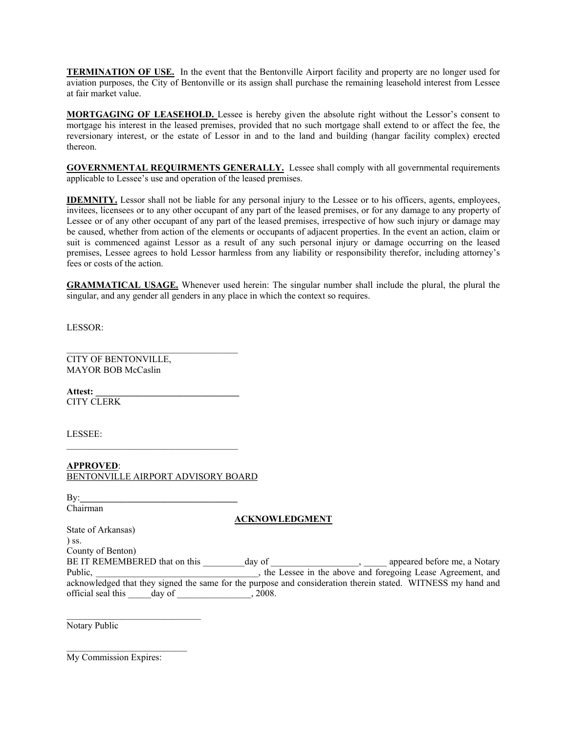**TERMINATION OF USE.** In the event that the Bentonville Airport facility and property are no longer used for aviation purposes, the City of Bentonville or its assign shall purchase the remaining leasehold interest from Lessee at fair market value.

**MORTGAGING OF LEASEHOLD.** Lessee is hereby given the absolute right without the Lessor's consent to mortgage his interest in the leased premises, provided that no such mortgage shall extend to or affect the fee, the reversionary interest, or the estate of Lessor in and to the land and building (hangar facility complex) erected thereon.

**GOVERNMENTAL REQUIRMENTS GENERALLY.** Lessee shall comply with all governmental requirements applicable to Lessee's use and operation of the leased premises.

**IDEMNITY.** Lessor shall not be liable for any personal injury to the Lessee or to his officers, agents, employees, invitees, licensees or to any other occupant of any part of the leased premises, or for any damage to any property of Lessee or of any other occupant of any part of the leased premises, irrespective of how such injury or damage may be caused, whether from action of the elements or occupants of adjacent properties. In the event an action, claim or suit is commenced against Lessor as a result of any such personal injury or damage occurring on the leased premises, Lessee agrees to hold Lessor harmless from any liability or responsibility therefor, including attorney's fees or costs of the action.

**GRAMMATICAL USAGE.** Whenever used herein: The singular number shall include the plural, the plural the singular, and any gender all genders in any place in which the context so requires.

LESSOR:

CITY OF BENTONVILLE, MAYOR BOB McCaslin

**Attest: \_\_\_\_\_\_\_\_\_\_\_\_\_\_\_\_\_\_\_\_\_\_\_\_\_\_\_\_\_\_\_**  CITY CLERK

LESSEE:

**APPROVED**: BENTONVILLE AIRPORT ADVISORY BOARD

By:**\_\_\_\_\_\_\_\_\_\_\_\_\_\_\_\_\_\_\_\_\_\_\_\_\_\_\_\_\_\_\_\_\_\_**  Chairman

### **ACKNOWLEDGMENT**

| State of Arkansas)            |        |                                                                                                              |
|-------------------------------|--------|--------------------------------------------------------------------------------------------------------------|
| $\sum$ SS.                    |        |                                                                                                              |
| County of Benton)             |        |                                                                                                              |
| BE IT REMEMBERED that on this | day of | appeared before me, a Notary                                                                                 |
| Public,                       |        | the Lessee in the above and foregoing Lease Agreement, and                                                   |
|                               |        | acknowledged that they signed the same for the purpose and consideration therein stated. WITNESS my hand and |
| official seal this<br>day of  | 2008.  |                                                                                                              |

Notary Public

My Commission Expires:

 $\overline{\phantom{a}}$  , where  $\overline{\phantom{a}}$  , where  $\overline{\phantom{a}}$  , where  $\overline{\phantom{a}}$ 

 $\overline{\phantom{a}}$  , where  $\overline{\phantom{a}}$  , where  $\overline{\phantom{a}}$  , where  $\overline{\phantom{a}}$